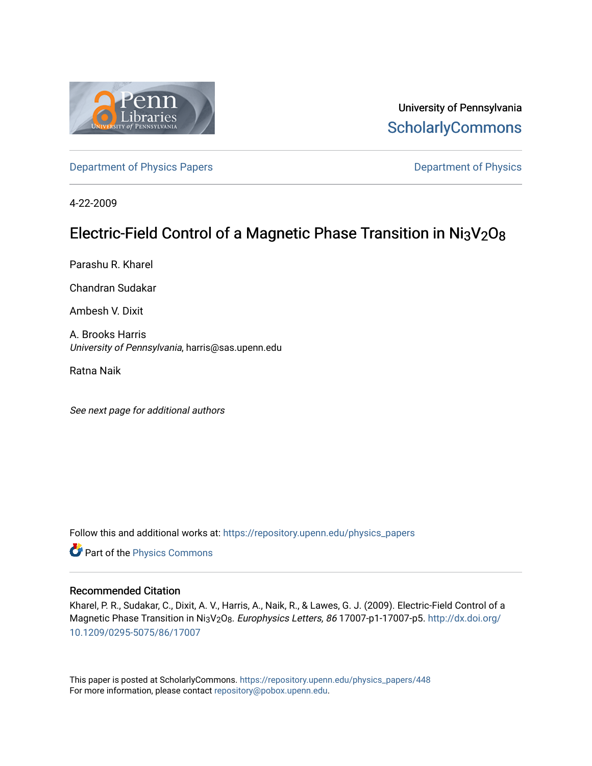

University of Pennsylvania **ScholarlyCommons** 

Department of Physics Papers **Department of Physics** 

4-22-2009

# Electric-Field Control of a Magnetic Phase Transition in Ni3V2O8

Parashu R. Kharel

Chandran Sudakar

Ambesh V. Dixit

A. Brooks Harris University of Pennsylvania, harris@sas.upenn.edu

Ratna Naik

See next page for additional authors

Follow this and additional works at: https://repository.upenn.edu/physics\_papers

Part of the Physics Commons

#### Recommended Citation

Kharel, P. R., Sudakar, C., Dixit, A. V., Harris, A., Naik, R., & Lawes, G. J. (2009). Electric-Field Control of a Magnetic Phase Transition in Ni3V<sub>2</sub>O<sub>8</sub>. Europhysics Letters, 86 17007-p1-17007-p5. http://dx.doi.org/ 10.1209/0295-5075/86/17007

This paper is posted at ScholarlyCommons. https://repository.upenn.edu/physics\_papers/448 For more information, please contact repository@pobox.upenn.edu.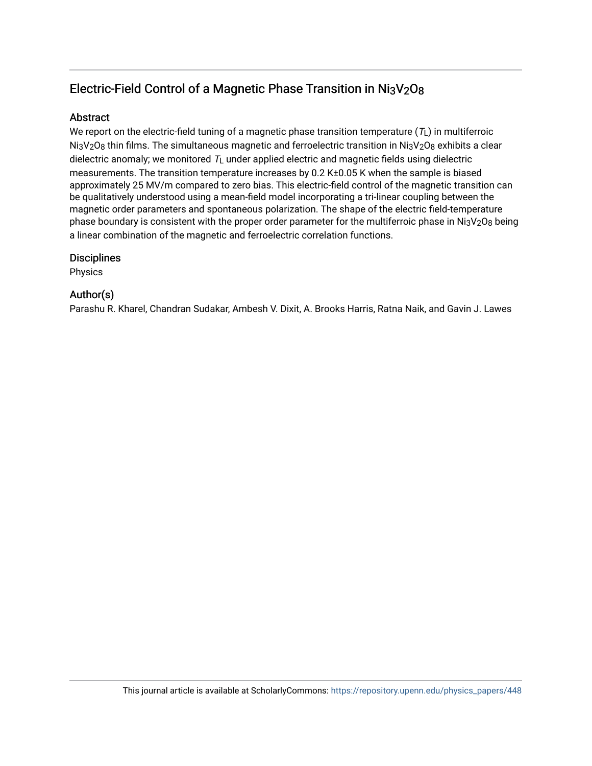## Electric-Field Control of a Magnetic Phase Transition in Ni3V2O8

## Abstract

We report on the electric-field tuning of a magnetic phase transition temperature ( $\tau_L$ ) in multiferroic  $N_{13}V_2O_8$  thin films. The simultaneous magnetic and ferroelectric transition in  $N_{13}V_2O_8$  exhibits a clear dielectric anomaly; we monitored  $T_L$  under applied electric and magnetic fields using dielectric measurements. The transition temperature increases by 0.2 K±0.05 K when the sample is biased approximately 25 MV/m compared to zero bias. This electric-field control of the magnetic transition can be qualitatively understood using a mean-field model incorporating a tri-linear coupling between the magnetic order parameters and spontaneous polarization. The shape of the electric field-temperature phase boundary is consistent with the proper order parameter for the multiferroic phase in Ni3V2O8 being a linear combination of the magnetic and ferroelectric correlation functions.

## **Disciplines**

Physics

## Author(s)

Parashu R. Kharel, Chandran Sudakar, Ambesh V. Dixit, A. Brooks Harris, Ratna Naik, and Gavin J. Lawes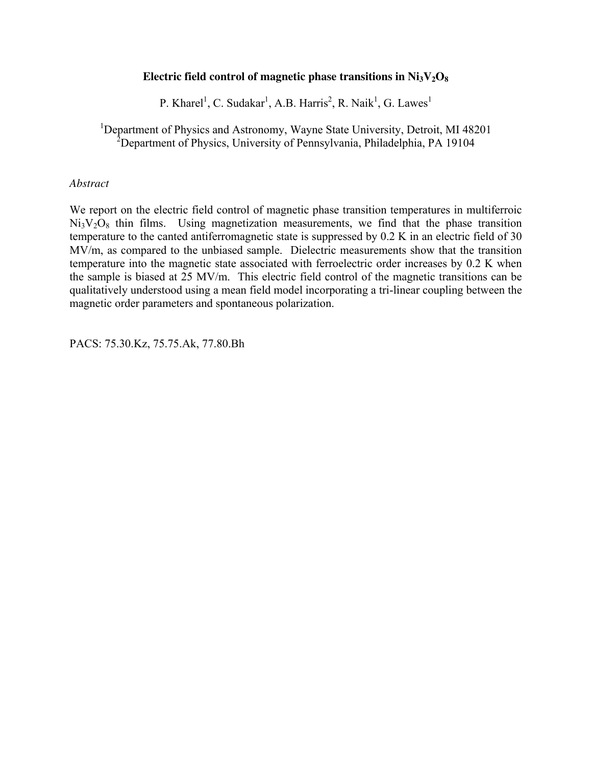#### Electric field control of magnetic phase transitions in  $Ni<sub>3</sub>V<sub>2</sub>O<sub>8</sub>$

P. Kharel<sup>1</sup>, C. Sudakar<sup>1</sup>, A.B. Harris<sup>2</sup>, R. Naik<sup>1</sup>, G. Lawes<sup>1</sup>

<sup>1</sup>Department of Physics and Astronomy, Wayne State University, Detroit, MI 48201 <sup>2</sup>Department of Physics, University of Pennsylvania, Philadelphia, PA 19104

#### *Abstract*

We report on the electric field control of magnetic phase transition temperatures in multiferroic  $Ni<sub>3</sub>V<sub>2</sub>O<sub>8</sub>$  thin films. Using magnetization measurements, we find that the phase transition temperature to the canted antiferromagnetic state is suppressed by 0.2 K in an electric field of 30 MV/m, as compared to the unbiased sample. Dielectric measurements show that the transition temperature into the magnetic state associated with ferroelectric order increases by 0.2 K when the sample is biased at 25 MV/m. This electric field control of the magnetic transitions can be qualitatively understood using a mean field model incorporating a tri-linear coupling between the magnetic order parameters and spontaneous polarization.

PACS: 75.30.Kz, 75.75.Ak, 77.80.Bh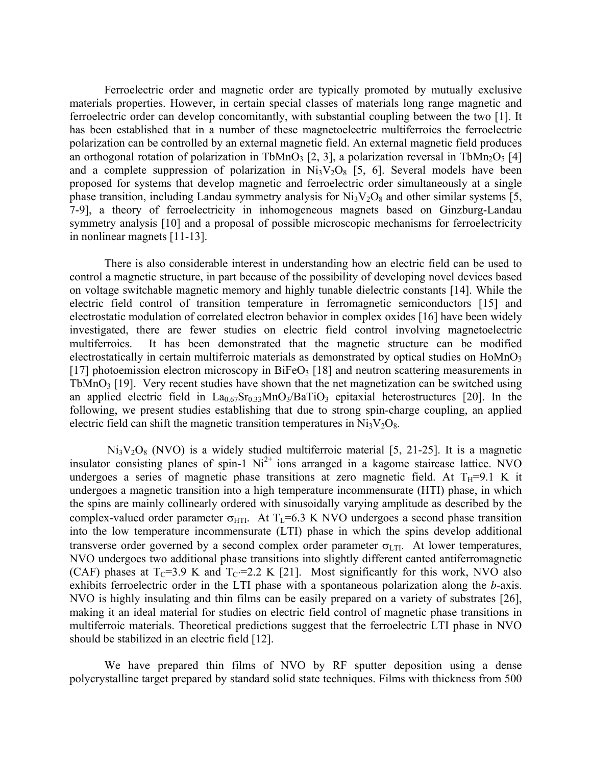Ferroelectric order and magnetic order are typically promoted by mutually exclusive materials properties. However, in certain special classes of materials long range magnetic and ferroelectric order can develop concomitantly, with substantial coupling between the two [1]. It has been established that in a number of these magnetoelectric multiferroics the ferroelectric polarization can be controlled by an external magnetic field. An external magnetic field produces an orthogonal rotation of polarization in TbMnO<sub>3</sub> [2, 3], a polarization reversal in TbMn<sub>2</sub>O<sub>5</sub> [4] and a complete suppression of polarization in  $Ni<sub>3</sub>V<sub>2</sub>O<sub>8</sub>$  [5, 6]. Several models have been proposed for systems that develop magnetic and ferroelectric order simultaneously at a single phase transition, including Landau symmetry analysis for  $Ni<sub>3</sub>V<sub>2</sub>O<sub>8</sub>$  and other similar systems [5, 7-9], a theory of ferroelectricity in inhomogeneous magnets based on Ginzburg-Landau symmetry analysis [10] and a proposal of possible microscopic mechanisms for ferroelectricity in nonlinear magnets [11-13].

There is also considerable interest in understanding how an electric field can be used to control a magnetic structure, in part because of the possibility of developing novel devices based on voltage switchable magnetic memory and highly tunable dielectric constants [14]. While the electric field control of transition temperature in ferromagnetic semiconductors [15] and electrostatic modulation of correlated electron behavior in complex oxides [16] have been widely investigated, there are fewer studies on electric field control involving magnetoelectric multiferroics. It has been demonstrated that the magnetic structure can be modified electrostatically in certain multiferroic materials as demonstrated by optical studies on  $H<sub>o</sub>MnO<sub>3</sub>$ [17] photoemission electron microscopy in  $BiFeO<sub>3</sub>$  [18] and neutron scattering measurements in TbMnO<sub>3</sub> [19]. Very recent studies have shown that the net magnetization can be switched using an applied electric field in  $La_{0.67}Sr_{0.33}MnO_3/BaTiO_3$  epitaxial heterostructures [20]. In the following, we present studies establishing that due to strong spin-charge coupling, an applied electric field can shift the magnetic transition temperatures in  $Ni<sub>3</sub>V<sub>2</sub>O<sub>8</sub>$ .

 $Ni<sub>3</sub>V<sub>2</sub>O<sub>8</sub>$  (NVO) is a widely studied multiferroic material [5, 21-25]. It is a magnetic insulator consisting planes of spin-1  $Ni<sup>2+</sup>$  ions arranged in a kagome staircase lattice. NVO undergoes a series of magnetic phase transitions at zero magnetic field. At  $T_H=9.1$  K it undergoes a magnetic transition into a high temperature incommensurate (HTI) phase, in which the spins are mainly collinearly ordered with sinusoidally varying amplitude as described by the complex-valued order parameter  $\sigma_{\text{HTI}}$ . At T<sub>L</sub>=6.3 K NVO undergoes a second phase transition into the low temperature incommensurate (LTI) phase in which the spins develop additional transverse order governed by a second complex order parameter  $\sigma_{\text{LTL}}$ . At lower temperatures, NVO undergoes two additional phase transitions into slightly different canted antiferromagnetic (CAF) phases at  $T_c=3.9$  K and  $T_c=2.2$  K [21]. Most significantly for this work, NVO also exhibits ferroelectric order in the LTI phase with a spontaneous polarization along the *b*-axis. NVO is highly insulating and thin films can be easily prepared on a variety of substrates [26], making it an ideal material for studies on electric field control of magnetic phase transitions in multiferroic materials. Theoretical predictions suggest that the ferroelectric LTI phase in NVO should be stabilized in an electric field [12].

 We have prepared thin films of NVO by RF sputter deposition using a dense polycrystalline target prepared by standard solid state techniques. Films with thickness from 500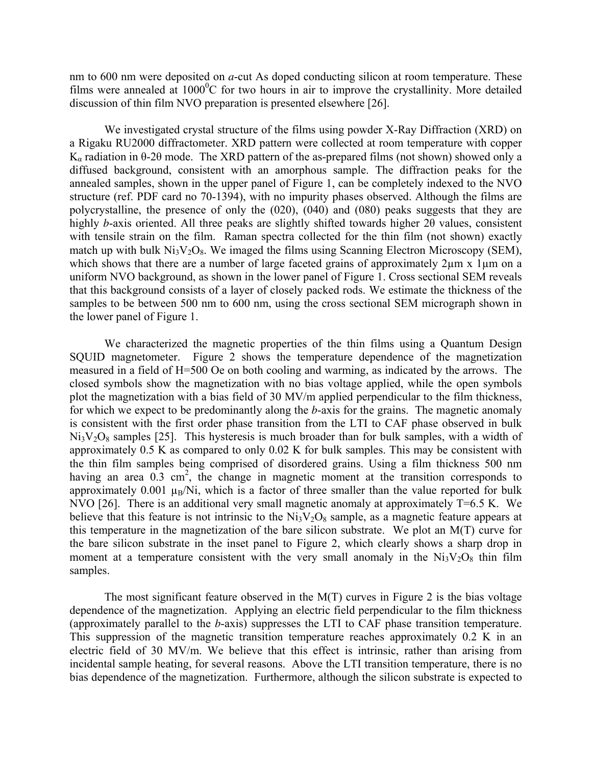nm to 600 nm were deposited on *a*-cut As doped conducting silicon at room temperature. These films were annealed at  $1000^{\circ}$ C for two hours in air to improve the crystallinity. More detailed discussion of thin film NVO preparation is presented elsewhere [26].

 We investigated crystal structure of the films using powder X-Ray Diffraction (XRD) on a Rigaku RU2000 diffractometer. XRD pattern were collected at room temperature with copper K<sub>α</sub> radiation in  $θ$ -2θ mode. The XRD pattern of the as-prepared films (not shown) showed only a diffused background, consistent with an amorphous sample. The diffraction peaks for the annealed samples, shown in the upper panel of Figure 1, can be completely indexed to the NVO structure (ref. PDF card no 70-1394), with no impurity phases observed. Although the films are polycrystalline, the presence of only the (020), (040) and (080) peaks suggests that they are highly *b*-axis oriented. All three peaks are slightly shifted towards higher 2θ values, consistent with tensile strain on the film. Raman spectra collected for the thin film (not shown) exactly match up with bulk  $Ni<sub>3</sub>V<sub>2</sub>O<sub>8</sub>$ . We imaged the films using Scanning Electron Microscopy (SEM), which shows that there are a number of large faceted grains of approximately  $2\mu$ m x 1 $\mu$ m on a uniform NVO background, as shown in the lower panel of Figure 1. Cross sectional SEM reveals that this background consists of a layer of closely packed rods. We estimate the thickness of the samples to be between 500 nm to 600 nm, using the cross sectional SEM micrograph shown in the lower panel of Figure 1.

 We characterized the magnetic properties of the thin films using a Quantum Design SQUID magnetometer. Figure 2 shows the temperature dependence of the magnetization measured in a field of H=500 Oe on both cooling and warming, as indicated by the arrows. The closed symbols show the magnetization with no bias voltage applied, while the open symbols plot the magnetization with a bias field of 30 MV/m applied perpendicular to the film thickness, for which we expect to be predominantly along the *b*-axis for the grains. The magnetic anomaly is consistent with the first order phase transition from the LTI to CAF phase observed in bulk  $Ni<sub>3</sub>V<sub>2</sub>O<sub>8</sub>$  samples [25]. This hysteresis is much broader than for bulk samples, with a width of approximately 0.5 K as compared to only 0.02 K for bulk samples. This may be consistent with the thin film samples being comprised of disordered grains. Using a film thickness 500 nm having an area  $0.3 \text{ cm}^2$ , the change in magnetic moment at the transition corresponds to approximately 0.001  $\mu_B/Ni$ , which is a factor of three smaller than the value reported for bulk NVO [26]. There is an additional very small magnetic anomaly at approximately T=6.5 K. We believe that this feature is not intrinsic to the  $Ni<sub>3</sub>V<sub>2</sub>O<sub>8</sub>$  sample, as a magnetic feature appears at this temperature in the magnetization of the bare silicon substrate. We plot an M(T) curve for the bare silicon substrate in the inset panel to Figure 2, which clearly shows a sharp drop in moment at a temperature consistent with the very small anomaly in the  $Ni<sub>3</sub>V<sub>2</sub>O<sub>8</sub>$  thin film samples.

 The most significant feature observed in the M(T) curves in Figure 2 is the bias voltage dependence of the magnetization. Applying an electric field perpendicular to the film thickness (approximately parallel to the *b*-axis) suppresses the LTI to CAF phase transition temperature. This suppression of the magnetic transition temperature reaches approximately 0.2 K in an electric field of 30 MV/m. We believe that this effect is intrinsic, rather than arising from incidental sample heating, for several reasons. Above the LTI transition temperature, there is no bias dependence of the magnetization. Furthermore, although the silicon substrate is expected to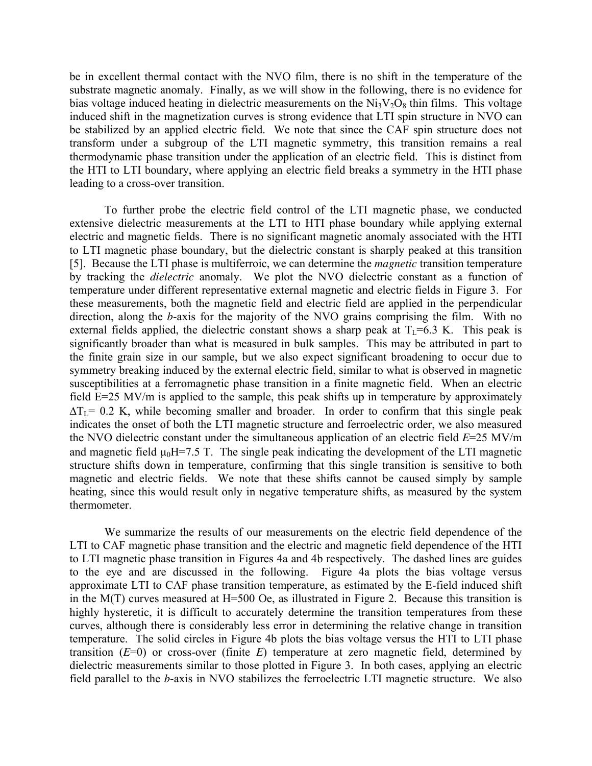be in excellent thermal contact with the NVO film, there is no shift in the temperature of the substrate magnetic anomaly. Finally, as we will show in the following, there is no evidence for bias voltage induced heating in dielectric measurements on the  $Ni<sub>3</sub>V<sub>2</sub>O<sub>8</sub>$  thin films. This voltage induced shift in the magnetization curves is strong evidence that LTI spin structure in NVO can be stabilized by an applied electric field. We note that since the CAF spin structure does not transform under a subgroup of the LTI magnetic symmetry, this transition remains a real thermodynamic phase transition under the application of an electric field. This is distinct from the HTI to LTI boundary, where applying an electric field breaks a symmetry in the HTI phase leading to a cross-over transition.

 To further probe the electric field control of the LTI magnetic phase, we conducted extensive dielectric measurements at the LTI to HTI phase boundary while applying external electric and magnetic fields. There is no significant magnetic anomaly associated with the HTI to LTI magnetic phase boundary, but the dielectric constant is sharply peaked at this transition [5]. Because the LTI phase is multiferroic, we can determine the *magnetic* transition temperature by tracking the *dielectric* anomaly. We plot the NVO dielectric constant as a function of temperature under different representative external magnetic and electric fields in Figure 3. For these measurements, both the magnetic field and electric field are applied in the perpendicular direction, along the *b*-axis for the majority of the NVO grains comprising the film. With no external fields applied, the dielectric constant shows a sharp peak at  $T_L=6.3$  K. This peak is significantly broader than what is measured in bulk samples. This may be attributed in part to the finite grain size in our sample, but we also expect significant broadening to occur due to symmetry breaking induced by the external electric field, similar to what is observed in magnetic susceptibilities at a ferromagnetic phase transition in a finite magnetic field. When an electric field E=25 MV/m is applied to the sample, this peak shifts up in temperature by approximately  $\Delta T_I = 0.2$  K, while becoming smaller and broader. In order to confirm that this single peak indicates the onset of both the LTI magnetic structure and ferroelectric order, we also measured the NVO dielectric constant under the simultaneous application of an electric field *E*=25 MV/m and magnetic field  $\mu_0$ H=7.5 T. The single peak indicating the development of the LTI magnetic structure shifts down in temperature, confirming that this single transition is sensitive to both magnetic and electric fields. We note that these shifts cannot be caused simply by sample heating, since this would result only in negative temperature shifts, as measured by the system thermometer.

 We summarize the results of our measurements on the electric field dependence of the LTI to CAF magnetic phase transition and the electric and magnetic field dependence of the HTI to LTI magnetic phase transition in Figures 4a and 4b respectively. The dashed lines are guides to the eye and are discussed in the following. Figure 4a plots the bias voltage versus approximate LTI to CAF phase transition temperature, as estimated by the E-field induced shift in the M(T) curves measured at H=500 Oe, as illustrated in Figure 2. Because this transition is highly hysteretic, it is difficult to accurately determine the transition temperatures from these curves, although there is considerably less error in determining the relative change in transition temperature. The solid circles in Figure 4b plots the bias voltage versus the HTI to LTI phase transition (*E*=0) or cross-over (finite *E*) temperature at zero magnetic field, determined by dielectric measurements similar to those plotted in Figure 3. In both cases, applying an electric field parallel to the *b*-axis in NVO stabilizes the ferroelectric LTI magnetic structure. We also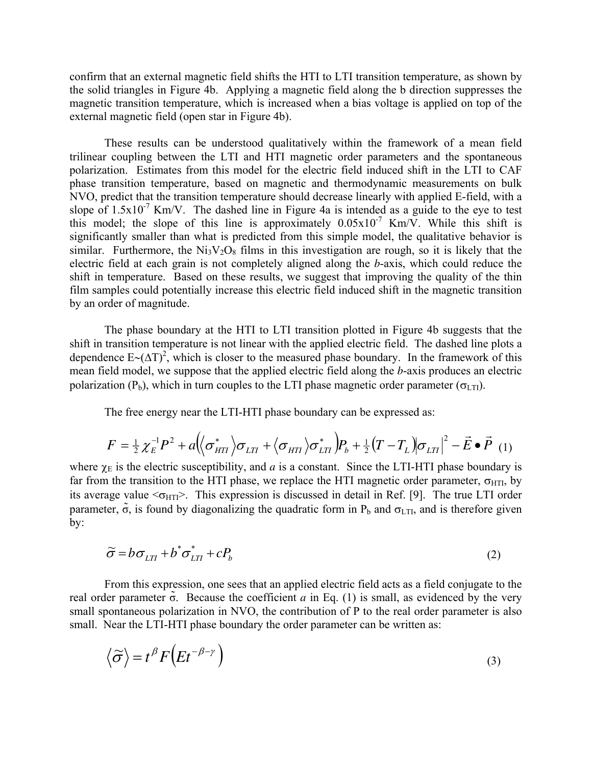confirm that an external magnetic field shifts the HTI to LTI transition temperature, as shown by the solid triangles in Figure 4b. Applying a magnetic field along the b direction suppresses the magnetic transition temperature, which is increased when a bias voltage is applied on top of the external magnetic field (open star in Figure 4b).

 These results can be understood qualitatively within the framework of a mean field trilinear coupling between the LTI and HTI magnetic order parameters and the spontaneous polarization. Estimates from this model for the electric field induced shift in the LTI to CAF phase transition temperature, based on magnetic and thermodynamic measurements on bulk NVO, predict that the transition temperature should decrease linearly with applied E-field, with a slope of  $1.5x10^{-7}$  Km/V. The dashed line in Figure 4a is intended as a guide to the eye to test this model; the slope of this line is approximately  $0.05 \times 10^{-7}$  Km/V. While this shift is significantly smaller than what is predicted from this simple model, the qualitative behavior is similar. Furthermore, the  $Ni<sub>3</sub>V<sub>2</sub>O<sub>8</sub>$  films in this investigation are rough, so it is likely that the electric field at each grain is not completely aligned along the *b*-axis, which could reduce the shift in temperature. Based on these results, we suggest that improving the quality of the thin film samples could potentially increase this electric field induced shift in the magnetic transition by an order of magnitude.

The phase boundary at the HTI to LTI transition plotted in Figure 4b suggests that the shift in transition temperature is not linear with the applied electric field. The dashed line plots a dependence  $E \sim (\Delta T)^2$ , which is closer to the measured phase boundary. In the framework of this mean field model, we suppose that the applied electric field along the *b*-axis produces an electric polarization ( $P_b$ ), which in turn couples to the LTI phase magnetic order parameter ( $\sigma_{\text{LTI}}$ ).

The free energy near the LTI-HTI phase boundary can be expressed as:

$$
F = \frac{1}{2} \chi_E^{-1} P^2 + a \Big( \Big\langle \sigma_{HT}^* \Big\rangle \sigma_{LTI} + \Big\langle \sigma_{HTI} \Big\rangle \sigma_{LTI}^* \Big) P_b + \frac{1}{2} \Big( T - T_L \Big) \sigma_{LTI} \Big|^2 - \vec{E} \bullet \vec{P} \tag{1}
$$

where  $\chi_E$  is the electric susceptibility, and *a* is a constant. Since the LTI-HTI phase boundary is far from the transition to the HTI phase, we replace the HTI magnetic order parameter,  $\sigma$ <sub>HTI</sub>, by its average value  $\leq_{\text{HTI}}$ . This expression is discussed in detail in Ref. [9]. The true LTI order parameter,  $\tilde{\sigma}$ , is found by diagonalizing the quadratic form in P<sub>b</sub> and  $\sigma$ <sub>LTI</sub>, and is therefore given by:

$$
\widetilde{\sigma} = b \sigma_{LTI} + b^* \sigma_{LTI}^* + cP_b \tag{2}
$$

From this expression, one sees that an applied electric field acts as a field conjugate to the real order parameter  $\tilde{\sigma}$ . Because the coefficient *a* in Eq. (1) is small, as evidenced by the very small spontaneous polarization in NVO, the contribution of P to the real order parameter is also small. Near the LTI-HTI phase boundary the order parameter can be written as:

$$
\langle \widetilde{\sigma} \rangle = t^{\beta} F \Big( E t^{-\beta - \gamma} \Big) \tag{3}
$$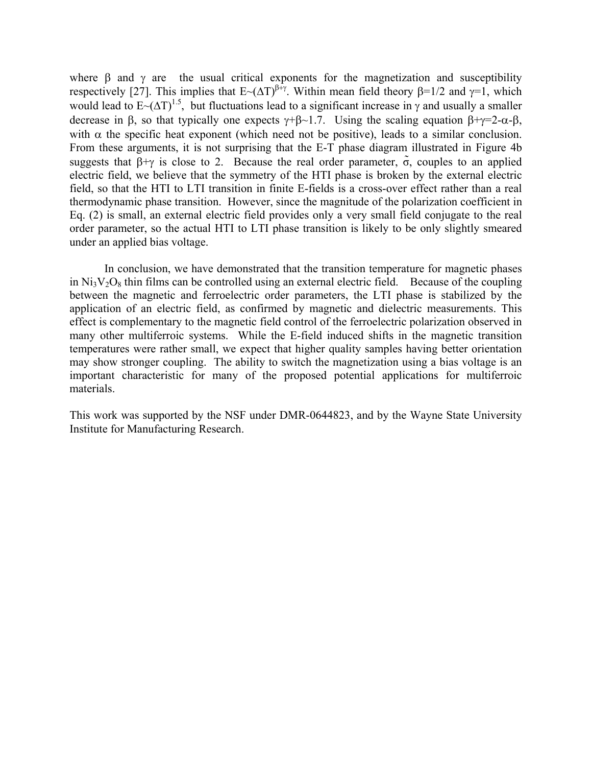where  $\beta$  and  $\gamma$  are the usual critical exponents for the magnetization and susceptibility respectively [27]. This implies that  $E $(\Delta T)^{\beta+\gamma}$ . Within mean field theory β=1/2 and γ=1, which$ would lead to  $E<sub>~</sub>(\Delta T)^{1.5}$ , but fluctuations lead to a significant increase in  $\gamma$  and usually a smaller decrease in β, so that typically one expects  $\gamma + \beta \sim 1.7$ . Using the scaling equation  $\beta + \gamma = 2 - \alpha - \beta$ , with  $\alpha$  the specific heat exponent (which need not be positive), leads to a similar conclusion. From these arguments, it is not surprising that the E-T phase diagram illustrated in Figure 4b suggests that  $\beta + \gamma$  is close to 2. Because the real order parameter,  $\tilde{\sigma}$ , couples to an applied electric field, we believe that the symmetry of the HTI phase is broken by the external electric field, so that the HTI to LTI transition in finite E-fields is a cross-over effect rather than a real thermodynamic phase transition. However, since the magnitude of the polarization coefficient in Eq. (2) is small, an external electric field provides only a very small field conjugate to the real order parameter, so the actual HTI to LTI phase transition is likely to be only slightly smeared under an applied bias voltage.

 In conclusion, we have demonstrated that the transition temperature for magnetic phases in  $Ni<sub>3</sub>V<sub>2</sub>O<sub>8</sub>$  thin films can be controlled using an external electric field. Because of the coupling between the magnetic and ferroelectric order parameters, the LTI phase is stabilized by the application of an electric field, as confirmed by magnetic and dielectric measurements. This effect is complementary to the magnetic field control of the ferroelectric polarization observed in many other multiferroic systems. While the E-field induced shifts in the magnetic transition temperatures were rather small, we expect that higher quality samples having better orientation may show stronger coupling. The ability to switch the magnetization using a bias voltage is an important characteristic for many of the proposed potential applications for multiferroic materials.

This work was supported by the NSF under DMR-0644823, and by the Wayne State University Institute for Manufacturing Research.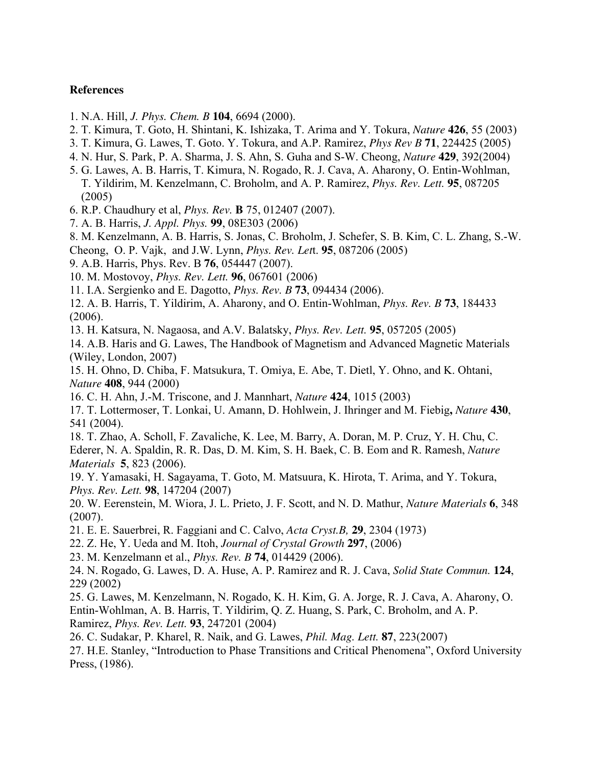### **References**

- 1. N.A. Hill, *J. Phys. Chem. B* **104**, 6694 (2000).
- 2. T. Kimura, T. Goto, H. Shintani, K. Ishizaka, T. Arima and Y. Tokura, *Nature* **426**, 55 (2003)
- 3. T. Kimura, G. Lawes, T. Goto. Y. Tokura, and A.P. Ramirez, *Phys Rev B* **71**, 224425 (2005)
- 4. N. Hur, S. Park, P. A. Sharma, J. S. Ahn, S. Guha and S-W. Cheong, *Nature* **429**, 392(2004)
- 5. G. Lawes, A. B. Harris, T. Kimura, N. Rogado, R. J. Cava, A. Aharony, O. Entin-Wohlman, T. Yildirim, M. Kenzelmann, C. Broholm, and A. P. Ramirez, *Phys. Rev. Lett.* **95**, 087205 (2005)
- 6. R.P. Chaudhury et al, *Phys. Rev.* **B** 75, 012407 (2007).
- 7. A. B. Harris, *J. Appl. Phys.* **99**, 08E303 (2006)
- 8. M. Kenzelmann, A. B. Harris, S. Jonas, C. Broholm, J. Schefer, S. B. Kim, C. L. Zhang, S.-W. Cheong, O. P. Vajk, and J.W. Lynn, *Phys. Rev. Let*t. **95**, 087206 (2005)
- 9. A.B. Harris, Phys. Rev. B **76**, 054447 (2007).
- 10. M. Mostovoy, *Phys. Rev. Lett.* **96**, 067601 (2006)
- 11. I.A. Sergienko and E. Dagotto, *Phys. Rev. B* **73**, 094434 (2006).
- 12. A. B. Harris, T. Yildirim, A. Aharony, and O. Entin-Wohlman, *Phys. Rev. B* **73**, 184433 (2006).
- 13. H. Katsura, N. Nagaosa, and A.V. Balatsky, *Phys. Rev. Lett.* **95**, 057205 (2005)
- 14. A.B. Haris and G. Lawes, The Handbook of Magnetism and Advanced Magnetic Materials (Wiley, London, 2007)
- 15. H. Ohno, D. Chiba, F. Matsukura, T. Omiya, E. Abe, T. Dietl, Y. Ohno, and K. Ohtani, *Nature* **408**, 944 (2000)
- 16. C. H. Ahn, J.-M. Triscone, and J. Mannhart, *Nature* **424**, 1015 (2003)
- 17. T. Lottermoser, T. Lonkai, U. Amann, D. Hohlwein, J. Ihringer and M. Fiebig**,** *Nature* **430**, 541 (2004).
- 18. T. Zhao, A. Scholl, F. Zavaliche, K. Lee, M. Barry, A. Doran, M. P. Cruz, Y. H. Chu, C. Ederer, N. A. Spaldin, R. R. Das, D. M. Kim, S. H. Baek, C. B. Eom and R. Ramesh, *Nature*
- *Materials* **5**, 823 (2006).
- 19. Y. Yamasaki, H. Sagayama, T. Goto, M. Matsuura, K. Hirota, T. Arima, and Y. Tokura, *Phys. Rev. Lett.* **98**, 147204 (2007)
- 20. W. Eerenstein, M. Wiora, J. L. Prieto, J. F. Scott, and N. D. Mathur, *Nature Materials* **6**, 348 (2007).
- 21. E. E. Sauerbrei, R. Faggiani and C. Calvo, *Acta Cryst.B,* **29**, 2304 (1973)
- 22. Z. He, Y. Ueda and M. Itoh, *Journal of Crystal Growth* **297**, (2006)
- 23. M. Kenzelmann et al., *Phys. Rev. B* **74**, 014429 (2006).
- 24. N. Rogado, G. Lawes, D. A. Huse, A. P. Ramirez and R. J. Cava, *Solid State Commun.* **124**, 229 (2002)
- 25. G. Lawes, M. Kenzelmann, N. Rogado, K. H. Kim, G. A. Jorge, R. J. Cava, A. Aharony, O. Entin-Wohlman, A. B. Harris, T. Yildirim, Q. Z. Huang, S. Park, C. Broholm, and A. P. Ramirez, *Phys. Rev. Lett.* **93**, 247201 (2004)
- 26. C. Sudakar, P. Kharel, R. Naik, and G. Lawes, *Phil. Mag. Lett.* **87**, 223(2007)
- 27. H.E. Stanley, "Introduction to Phase Transitions and Critical Phenomena", Oxford University Press, (1986).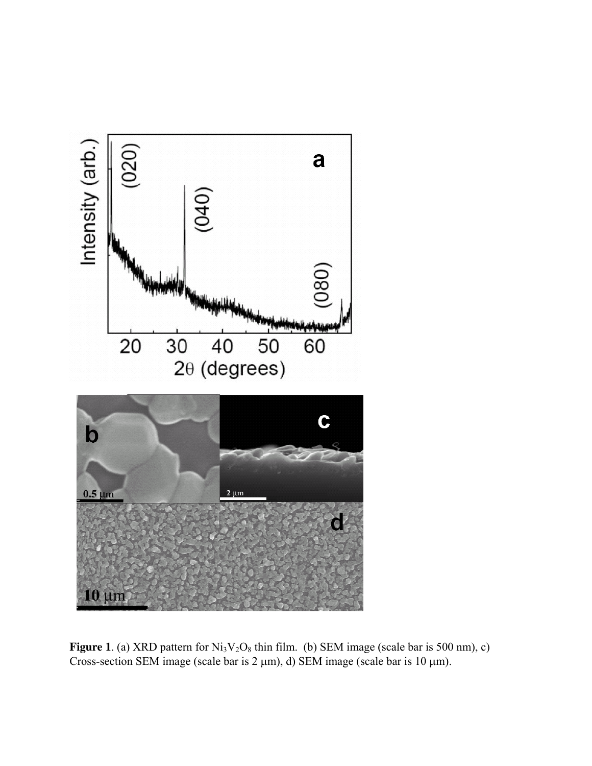

**Figure 1**. (a) XRD pattern for  $Ni<sub>3</sub>V<sub>2</sub>O<sub>8</sub>$  thin film. (b) SEM image (scale bar is 500 nm), c) Cross-section SEM image (scale bar is  $2 \mu m$ ), d) SEM image (scale bar is  $10 \mu m$ ).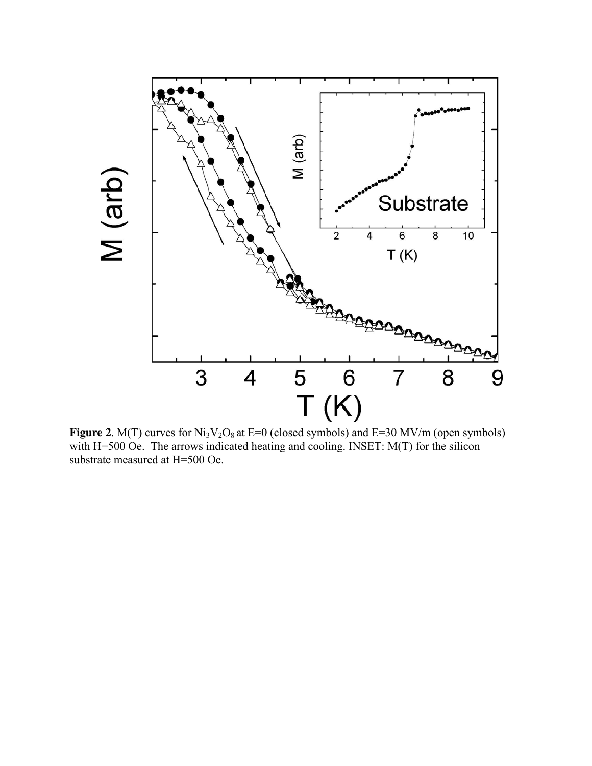

**Figure 2**. M(T) curves for  $Ni<sub>3</sub>V<sub>2</sub>O<sub>8</sub>$  at E=0 (closed symbols) and E=30 MV/m (open symbols) with H=500 Oe. The arrows indicated heating and cooling. INSET: M(T) for the silicon substrate measured at H=500 Oe.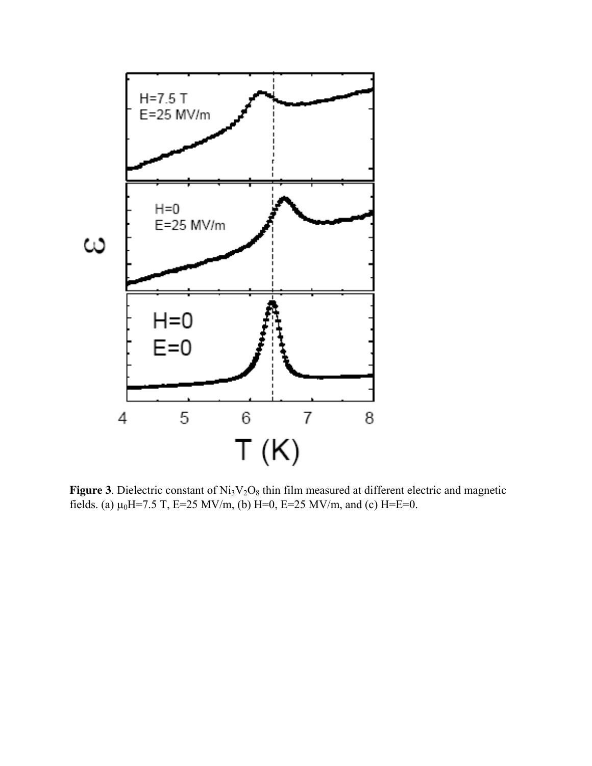

**Figure 3**. Dielectric constant of  $Ni<sub>3</sub>V<sub>2</sub>O<sub>8</sub>$  thin film measured at different electric and magnetic fields. (a)  $\mu_0$ H=7.5 T, E=25 MV/m, (b) H=0, E=25 MV/m, and (c) H=E=0.